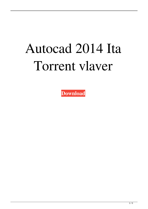## Autocad 2014 Ita Torrent vlaver

Download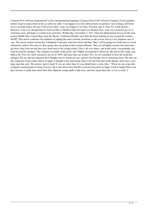Category:Free software programmed in Java (programming language) Category:Free CAD software Category:Vector graphics editors I had to read a book in the car after my shift. I was happy to see the subway back on and here I am writing a different review on both books, but one I will review later. I was very happy to see Glee, Pyschon, and A View To A Kill all here. However, I was very dissapointed to find out that 12 Monkeys had not made it to theaters here. I am very excited to go see it sometime soon, and hope it is made to be seen here. Wednesday, November 2, 2011 After the phenomenal success of the stopmotion Ghibli film, Crayon Shin-chan the Movie, Yoshifumi Kondō's new film has been making its way around the country. WOW! This movie continues the tradition of putting the most comedic moments on the screen, but in a very Japanese sort of way. The movie centers around the Yokohama Yokosuka, who have been told that "they" will be going on a field trip, to a local elementary school. Not only are they going, they are going in their actual uniforms. They are all highly excited, but when they get there, they find out that they have been sent to the wrong school. This is all very funny, and at this point, you probably just want to read the synopsis. The synopsis is actually really good, and I highly recommend it. However, the movie does make you think a bit. First off, these characters are set in 1999, and since they are in their 20's, we are reminded of how the world has changed. We see that the Japanese have bought a lot of American cars, and are also buying a lot of American jeans. We also see the expansion of the youth culture in Japan. I thought it was interesting when I saw the film that in the theater, there was a very large sign that said, "Be patient, and try hard! If you are older than 18, you should have a work ethic." When we see a sign that compares working hard to being 18 years old, it just shows how bad the economy has gotten in Japan. I had to laugh when I saw that, because it really does show how little Japanese young adults really have, and how much they have to try to work. I